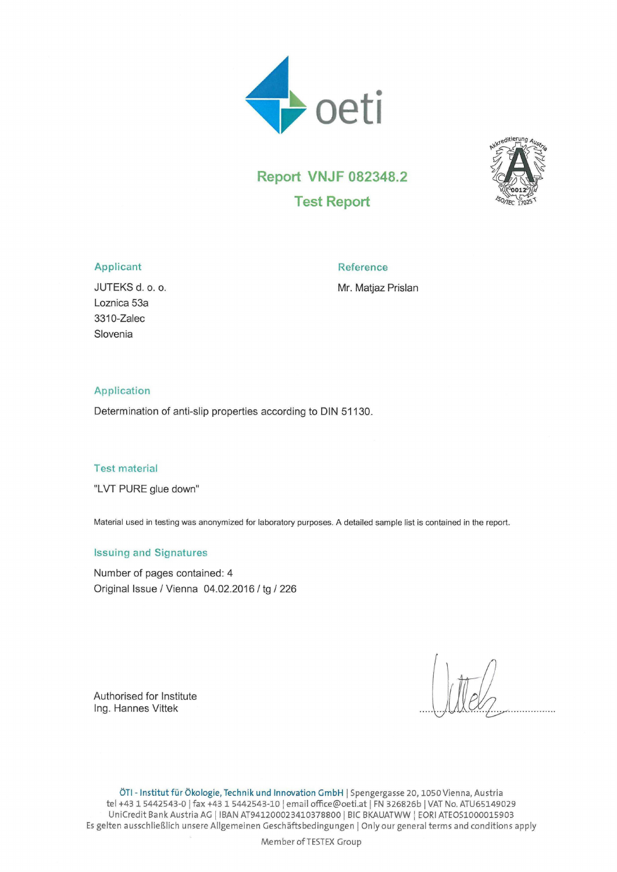



# Report VNJF 082348.2 Test Report

## Applicant Reference

JUTEKS d. o. o. **We are all assets that the Mr. Matjaz Prislan** 

Loznica 53a 3310-Zalec Slovenia

## Application

Determination of anti-slip properties according to DIN 51130.

## Test material

"LVT PURE glue down"

Material used in testing was anonymized for laboratory purposes. A detailed sample list is contained in the report.

# Issuing and Signatures

Number of pages contained: 4 Original Issue / Vienna 04.02.2016 / tg / 226

Authorised for Institute Ing. Hannes Vittek

ÖTI - Institut für Ökologie, Technik und Innovation GmbH | Spengergasse 20,1050 Vienna, Austria tel +43 1 5442543-0 | fax +43 1 5442543-10 | email office@oeti.at | FN 326826b | VAT No. ATU65149029 UniCredit Bank Austria AG | IBAN AT941200023410378800 | BIC BKAUATWW \ EORI ATEOS1000015903 Es gelten ausschließlich unsere Allgemeinen Geschäftsbedingungen | Onlyour general terms and conditions apply

Member of TESTEX Group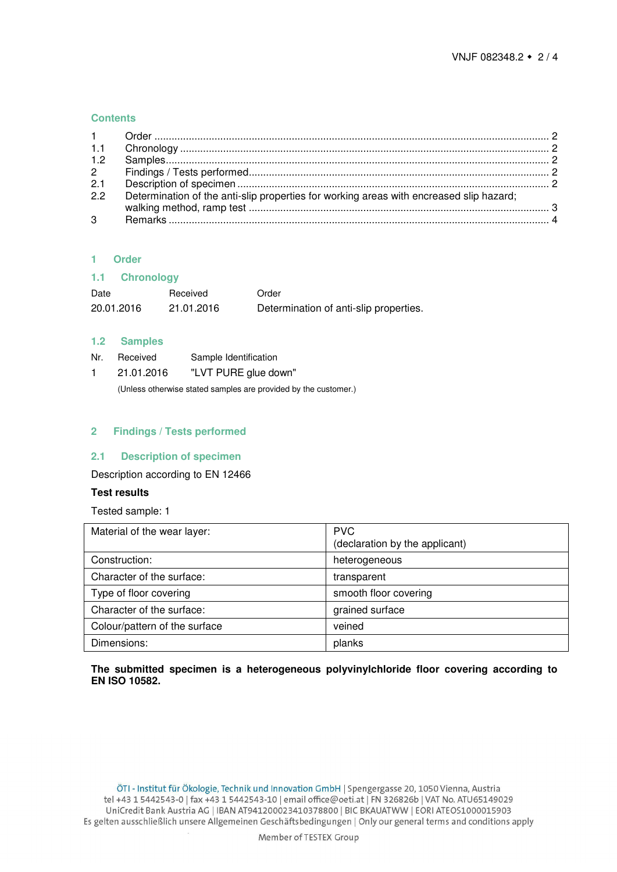## **Contents**

| 2.1 |                                                                                         |  |
|-----|-----------------------------------------------------------------------------------------|--|
| 2.2 | Determination of the anti-slip properties for working areas with encreased slip hazard; |  |
|     |                                                                                         |  |

# <span id="page-1-0"></span>**1 Order**

<span id="page-1-1"></span>

| 1.1<br><b>Chronology</b> |            |                                        |
|--------------------------|------------|----------------------------------------|
| Date                     | Received   | Order                                  |
| 20.01.2016               | 21.01.2016 | Determination of anti-slip properties. |

## <span id="page-1-2"></span>**1.2 Samples**

- Nr. Received Sample Identification
- 1 21.01.2016 "LVT PURE glue down"

(Unless otherwise stated samples are provided by the customer.)

## <span id="page-1-3"></span>**2 Findings / Tests performed**

## <span id="page-1-4"></span>**2.1 Description of specimen**

Description according to EN 12466

## **Test results**

Tested sample: 1

| Material of the wear layer:   | <b>PVC</b><br>(declaration by the applicant) |
|-------------------------------|----------------------------------------------|
| Construction:                 | heterogeneous                                |
| Character of the surface:     | transparent                                  |
| Type of floor covering        | smooth floor covering                        |
| Character of the surface:     | grained surface                              |
| Colour/pattern of the surface | veined                                       |
| Dimensions:                   | planks                                       |

**The submitted specimen is a heterogeneous polyvinylchloride floor covering according to EN ISO 10582.**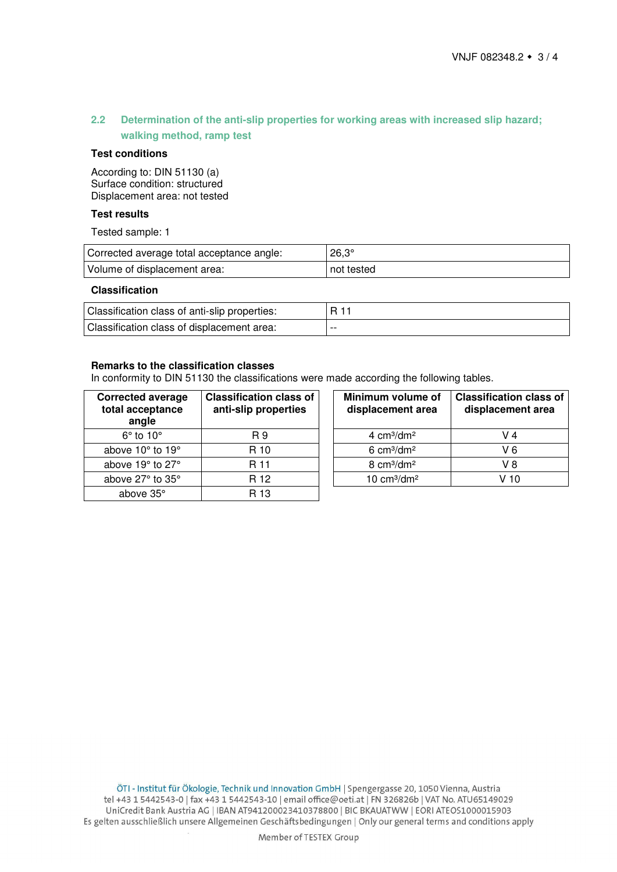# <span id="page-2-0"></span>**2.2 Determination of the anti-slip properties for working areas with increased slip hazard; walking method, ramp test**

## **Test conditions**

According to: DIN 51130 (a) Surface condition: structured Displacement area: not tested

# **Test results**

Tested sample: 1

| Corrected average total acceptance angle: | $26.3^\circ$ |
|-------------------------------------------|--------------|
| Volume of displacement area:              | not tested   |

## **Classification**

| Classification class of anti-slip properties: |       |
|-----------------------------------------------|-------|
| Classification class of displacement area:    | $- -$ |

## **Remarks to the classification classes**

In conformity to DIN 51130 the classifications were made according the following tables.

| <b>Corrected average</b><br>total acceptance<br>angle | <b>Classification class of</b><br>anti-slip properties | Minimum volume of<br>displacement area | <b>Classification</b><br>displacemer |
|-------------------------------------------------------|--------------------------------------------------------|----------------------------------------|--------------------------------------|
| $6^\circ$ to $10^\circ$                               | R 9                                                    | 4 $cm3/dm2$                            | V 4                                  |
| above 10° to 19°                                      | R 10                                                   | $6 \text{ cm}^3/\text{dm}^2$           | V <sub>6</sub>                       |
| above 19° to 27°                                      | R 11                                                   | 8 $cm3/dm2$                            | V <sub>8</sub>                       |
| above 27° to 35°                                      | R 12                                                   | 10 $cm3/dm2$                           | V 10                                 |
| above 35°                                             | R 13                                                   |                                        |                                      |

| Minimum volume of<br>displacement area | <b>Classification class of</b><br>displacement area |
|----------------------------------------|-----------------------------------------------------|
| 4 $cm3/dm2$                            | V 4                                                 |
| $6 \text{ cm}^3/\text{dm}^2$           |                                                     |
| $8 \text{ cm}^3/\text{dm}^2$           | V 8                                                 |
| 10 $cm3/dm2$                           | V 10                                                |
|                                        |                                                     |